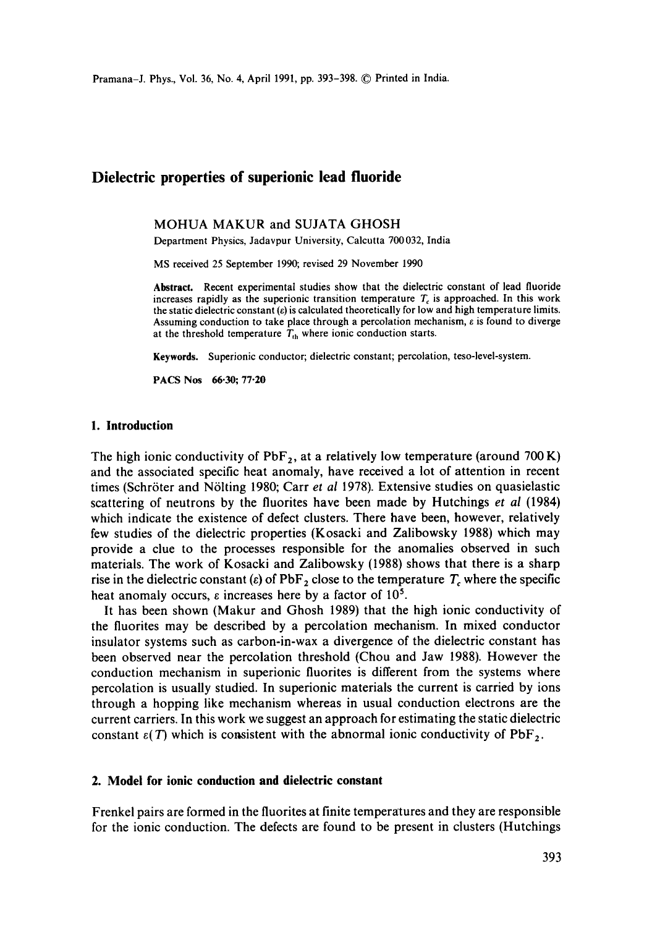Pramana-J. Phys., Vol. 36, No. 4, April 1991, pp. 393-398. © Printed in India.

# **Dielectric properties of superionic lead fluoride**

### MOHUA MAKUR and SUJATA GHOSH

Department Physics, Jadavpur University, Calcutta 700 032, India

MS received 25 September 1990; revised 29 November 1990

Abstract. Recent experimental studies show that the dielectric constant of lead fluoride increases rapidly as the superionic transition temperature  $T_c$  is approached. In this work the static dielectric constant  $(e)$  is calculated theoretically for low and high temperature limits. Assuming conduction to take place through a percolation mechanism, e is found to diverge at the threshold temperature  $T_{th}$  where ionic conduction starts.

Keywords. Superionic conductor; dielectric constant; percolation, teso-level-system.

PACS Nos 66.30; 77.20

#### **1. Introduction**

The high ionic conductivity of  $PbF_2$ , at a relatively low temperature (around 700 K) and the associated specific heat anomaly, have received a lot of attention in recent times (Schröter and Nölting 1980; Carr *et al* 1978). Extensive studies on quasielastic scattering of neutrons by the fluorites have been made by Hutchings *et al* (1984) which indicate the existence of defect clusters. There have been, however, relatively few studies of the dielectric properties (Kosacki and Zalibowsky 1988) which may provide a clue to the processes responsible for the anomalies observed in such materials. The work of Kosacki and Zalibowsky (1988) shows that there is a sharp rise in the dielectric constant (e) of PbF<sub>2</sub> close to the temperature  $T_c$  where the specific heat anomaly occurs,  $\varepsilon$  increases here by a factor of 10<sup>5</sup>.

It has been shown (Makur and Ghosh 1989) that the high ionic conductivity of the fluorites may be described by a percolation mechanism. In mixed conductor insulator systems such as carbon-in-wax a divergence of the dielectric constant has been observed near the percolation threshold (Chou and Jaw 1988). However the conduction mechanism in superionic fluorites is different from the systems where percolation is usually studied. In superionic materials the current is carried by ions through a hopping like mechanism whereas in usual conduction electrons are the current carriers. In this work we suggest an approach for estimating the static dielectric constant  $\varepsilon(T)$  which is consistent with the abnormal ionic conductivity of PbF<sub>2</sub>.

# **2. Model for ionic conduction and dielectric constant**

Frenkel pairs are formed in the fluorites at finite temperatures and they are responsible for the ionic conduction. The defects are found to be present in clusters (Hutchings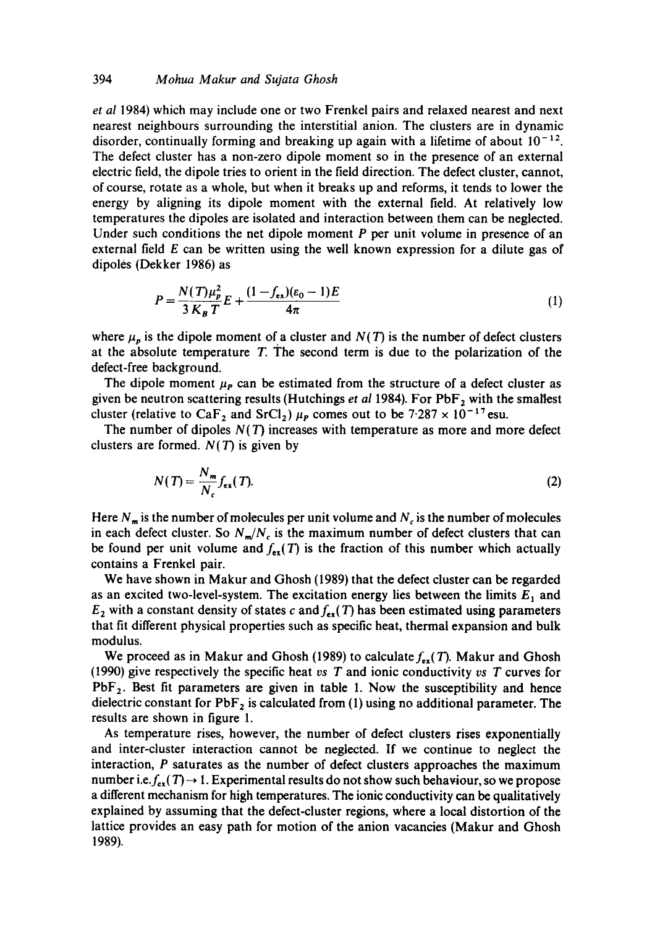### 394 *Mohua Makur and Sujata Ghosh*

*et al* 1984) which may include one or two Frenkel pairs and relaxed nearest and next nearest neighbours surrounding the interstitial anion. The clusters are in dynamic disorder, continually forming and breaking up again with a lifetime of about  $10^{-12}$ . The defect cluster has a non-zero dipole moment so in the presence of an external electric field, the dipole tries to orient in the field direction. The defect cluster, cannot, of course, rotate as a whole, but when it breaks up and reforms, it tends to lower the energy by aligning its dipole moment with the external field. At relatively low temperatures the dipoles are isolated and interaction between them can be neglected. Under such conditions the net dipole moment  $P$  per unit volume in presence of an external field  $E$  can be written using the well known expression for a dilute gas of dipoles (Dekker 1986) as

$$
P = \frac{N(T)\mu_p^2}{3K_B T}E + \frac{(1 - f_{ex})(\varepsilon_0 - 1)E}{4\pi}
$$
 (1)

where  $\mu_p$  is the dipole moment of a cluster and  $N(T)$  is the number of defect clusters at the absolute temperature  $T$ . The second term is due to the polarization of the defect-free background.

The dipole moment  $\mu<sub>P</sub>$  can be estimated from the structure of a defect cluster as given be neutron scattering results (Hutchings *et al* 1984). For PbF<sub>2</sub> with the smallest cluster (relative to CaF<sub>2</sub> and SrCl<sub>2</sub>)  $\mu$ <sub>P</sub> comes out to be 7.287 × 10<sup>-17</sup> esu.

The number of dipoles  $N(T)$  increases with temperature as more and more defect clusters are formed.  $N(T)$  is given by

$$
N(T) = \frac{N_m}{N_c} f_{ex}(T). \tag{2}
$$

Here  $N_m$  is the number of molecules per unit volume and  $N_c$  is the number of molecules in each defect cluster. So  $N_m/N_c$  is the maximum number of defect clusters that can be found per unit volume and  $f_{ex}(T)$  is the fraction of this number which actually contains a Frenkel pair.

We have shown in Makur and Ghosh (1989) that the defect cluster can be regarded as an excited two-level-system. The excitation energy lies between the limits  $E_1$  and  $E_2$  with a constant density of states c and  $f_{ex}(T)$  has been estimated using parameters that fit different physical properties such as specific heat, thermal expansion and bulk modulus.

We proceed as in Makur and Ghosh (1989) to calculate  $f_{\text{ext}}(T)$ . Makur and Ghosh (1990) give respectively the specific heat *vs T* and ionic conductivity *vs T* curves for  $PbF<sub>2</sub>$ . Best fit parameters are given in table 1. Now the susceptibility and hence dielectric constant for  $PbF_2$  is calculated from (1) using no additional parameter. The results are shown in figure 1.

As temperature rises, however, the number of defect clusters rises exponentially and inter-cluster interaction cannot be neglected. If we continue to neglect the interaction, P saturates as the number of defect clusters approaches the maximum number i.e.  $f_{ex}(T) \rightarrow 1$ . Experimental results do not show such behaviour, so we propose a different mechanism for high temperatures. The ionic conductivity can be qualitatively explained by assuming that the defect-cluster regions, where a local distortion of the lattice provides an easy path for motion of the anion vacancies (Makur and Ghosh 1989).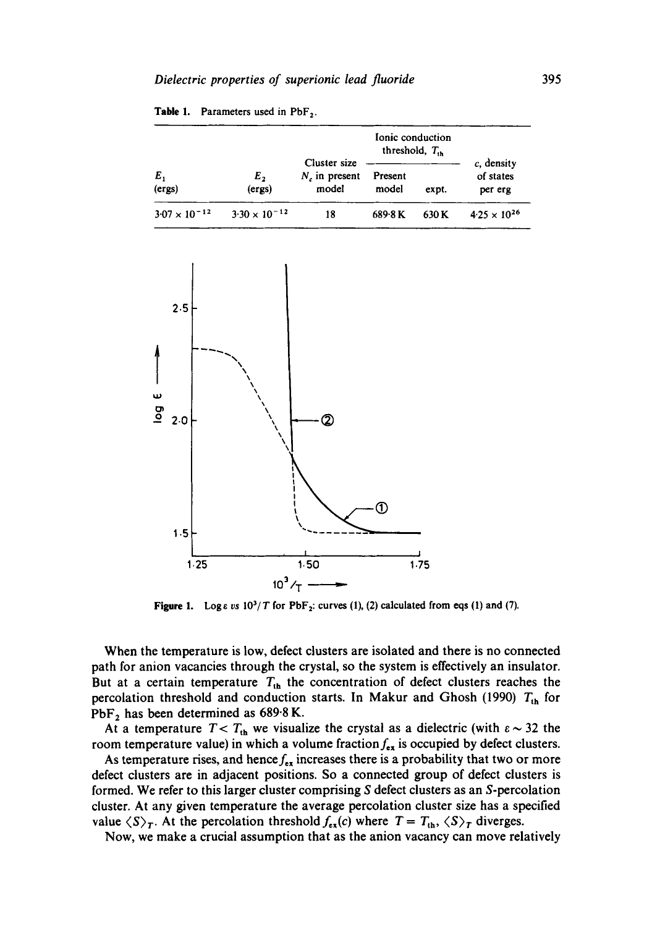| $E_{1}$<br>(ergs)      | E <sub>2</sub><br>(ergs) | Ionic conduction<br>threshold, $T_{\alpha}$ |                  |       |                                    |
|------------------------|--------------------------|---------------------------------------------|------------------|-------|------------------------------------|
|                        |                          | Cluster size<br>$N$ , in present<br>model   | Present<br>model | expt. | c, density<br>of states<br>per erg |
| $3.07 \times 10^{-12}$ | $3.30 \times 10^{-12}$   | 18                                          | 689-8 K          | 630 K | $4.25 \times 10^{26}$              |





**Figure 1.** Log  $\epsilon$  *vs*  $10^3/T$  for PbF<sub>2</sub>: curves (1), (2) calculated from eqs (1) and (7).

When the temperature is low, defect clusters are isolated and there is no connected path for anion vacancies through the crystal, so the system is effectively an insulator. But at a certain temperature  $T_{th}$  the concentration of defect clusters reaches the percolation threshold and conduction starts. In Makur and Ghosh (1990)  $T_{\text{th}}$  for PbF<sub>2</sub> has been determined as  $689.8$  K.

At a temperature  $T < T_{\text{th}}$  we visualize the crystal as a dielectric (with  $\varepsilon \sim 32$  the room temperature value) in which a volume fraction  $f_{ex}$  is occupied by defect clusters.

As temperature rises, and hence  $f_{ex}$  increases there is a probability that two or more defect clusters are in adjacent positions. So a connected group of defect clusters is formed. We refer to this larger cluster comprising S defect clusters as an S-percolation cluster. At any given temperature the average percolation cluster size has a specified value  $\langle S \rangle_T$ . At the percolation threshold  $f_{\epsilon x}(c)$  where  $T = T_{\text{th}}$ ,  $\langle S \rangle_T$  diverges.

Now, we make a crucial assumption that as the anion vacancy can move relatively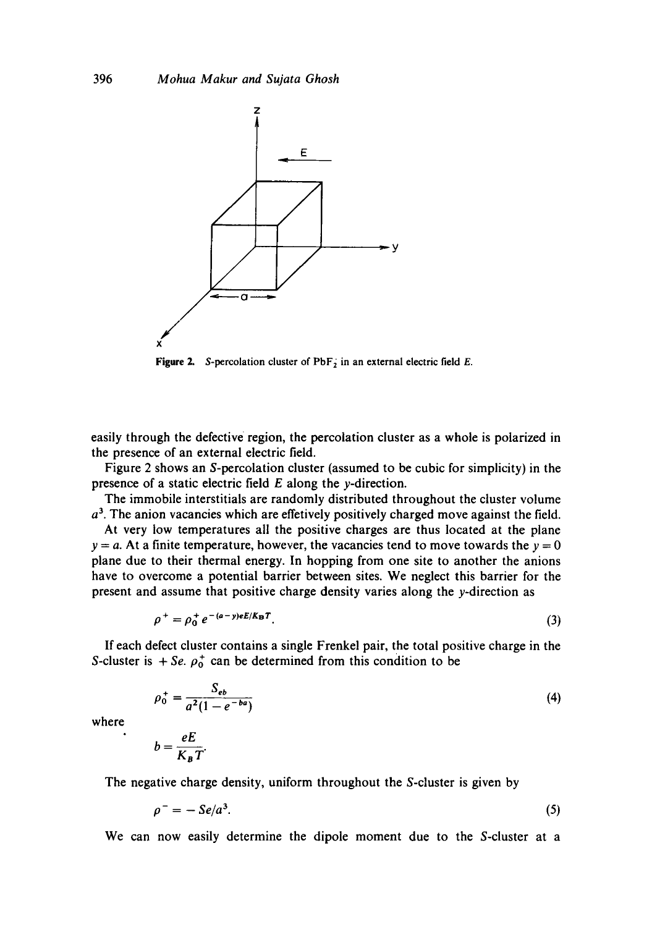

**Figure 2.** S-percolation cluster of  $PbF_2$  in an external electric field E.

easily through the defective region, the percolation cluster as a whole is polarized in the presence of an external electric field.

Figure 2 shows an S-percolation cluster (assumed to be cubic for simplicity) in the presence of a static electric field  $E$  along the y-direction.

The immobile interstitials are randomly distributed throughout the cluster volume  $a<sup>3</sup>$ . The anion vacancies which are effetively positively charged move against the field.

At very low temperatures all the positive charges are thus located at the plane  $y = a$ . At a finite temperature, however, the vacancies tend to move towards the  $y = 0$ plane due to their thermal energy. In hopping from one site to another the anions have to overcome a potential barrier between sites. We neglect this barrier for the present and assume that positive charge density varies along the y-direction as

$$
\rho^+ = \rho_0^+ e^{-(a-y)eE/K_B T}.
$$
\n(3)

If each defect cluster contains a single Frenkel pair, the total positive charge in the S-cluster is  $+$  *Se.*  $\rho_0^+$  can be determined from this condition to be

$$
\rho_0^+ = \frac{S_{eb}}{a^2 (1 - e^{-ba})} \tag{4}
$$

where

$$
b=\frac{eE}{K_BT}.
$$

The negative charge density, uniform throughout the S-cluster is given by

$$
\rho^- = -\mathit{Se}/a^3. \tag{5}
$$

We can now easily determine the dipole moment due to the S-cluster at a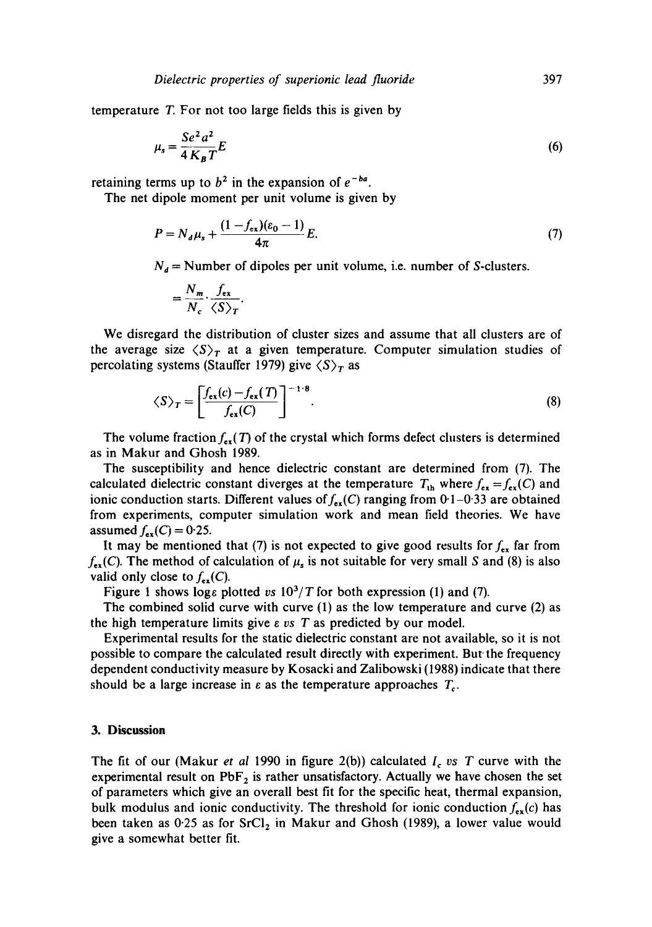temperature T. For not too large fields this is given by

$$
\mu_s = \frac{Se^2 a^2}{4 K_B T} E \tag{6}
$$

retaining terms up to  $b^2$  in the expansion of  $e^{-ba}$ .

The net dipole moment per unit volume is given by

$$
P = N_d \mu_s + \frac{(1 - f_{ex})(\varepsilon_0 - 1)}{4\pi} E.
$$
 (7)

 $N_d$  = Number of dipoles per unit volume, i.e. number of S-clusters.

$$
=\frac{N_m}{N_c}\cdot\frac{f_{\rm ex}}{\langle S\rangle_T}.
$$

We disregard the distribution of cluster sizes and assume that all clusters are of the average size  $\langle S \rangle_T$  at a given temperature. Computer simulation studies of percolating systems (Stauffer 1979) give  $\langle S \rangle_T$  as

$$
\langle S \rangle_T = \left[ \frac{f_{\text{ex}}(c) - f_{\text{ex}}(T)}{f_{\text{ex}}(C)} \right]^{-1 \cdot 8}.
$$
 (8)

The volume fraction  $f_{\text{ex}}(T)$  of the crystal which forms defect clusters is determined as in Makur and Ghosh 1989.

The susceptibility and hence dielectric constant are determined from (7). The calculated dielectric constant diverges at the temperature  $T_{\text{th}}$  where  $f_{\text{ex}} = f_{\text{ex}}(C)$  and ionic conduction starts. Different values of  $f_{ex}(C)$  ranging from 0.1-0.33 are obtained from experiments, computer simulation work and mean field theories. We have assumed  $f_{ex}(C) = 0.25$ .

It may be mentioned that (7) is not expected to give good results for  $f_{ex}$  far from  $f_{ex}(C)$ . The method of calculation of  $\mu$ <sub>s</sub> is not suitable for very small S and (8) is also valid only close to  $f_{ex}(C)$ .

Figure 1 shows logs plotted *vs*  $10^3/T$  for both expression (1) and (7).

The combined solid curve with curve (1) as the low temperature and curve (2) as the high temperature limits give  $\varepsilon$  *vs*  $T$  as predicted by our model.

Experimental results for the static dielectric constant are not available, so it is not possible to compare the calculated result directly with experiment. But the frequency dependent conductivity measure by Kosacki and Zalibowski (1988) indicate that there should be a large increase in  $\varepsilon$  as the temperature approaches  $T_c$ .

### **3. Discussion**

The fit of our (Makur *et al* 1990 in figure 2(b)) calculated *I< os T* curve with the experimental result on  $PbF_2$  is rather unsatisfactory. Actually we have chosen the set of parameters which give an overall best fit for the specific heat, thermal expansion, bulk modulus and ionic conductivity. The threshold for ionic conduction  $f_{ex}(c)$  has been taken as  $0.25$  as for  $SrCl<sub>2</sub>$  in Makur and Ghosh (1989), a lower value would give a somewhat better fit.